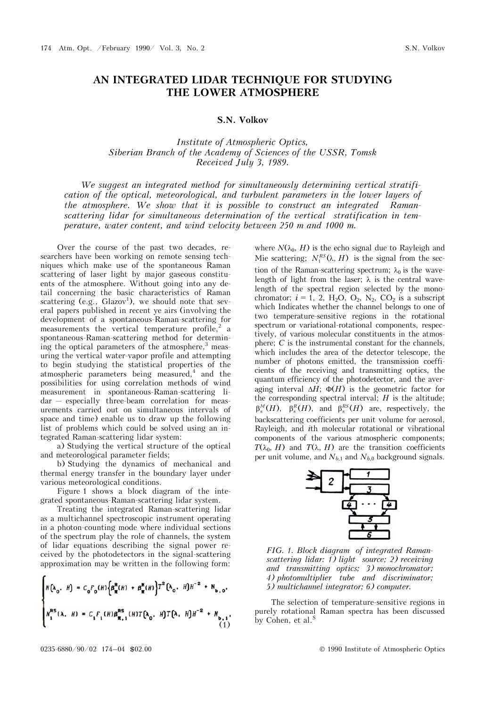## **AN INTEGRATED LIDAR TECHNIQUE FOR STUDYING THE LOWER ATMOSPHERE**

## **S.N. Volkov**

*Institute of Atmospheric Optics, Siberian Branch of the Academy of Sciences of the USSR, Tomsk Received July 3, 1989.* 

*We suggest an integrated method for simultaneously determining vertical stratification of the optical, meteorological, and turbulent parameters in the lower layers of the atmosphere. We show that it is possible to construct an integrated Ramanscattering lidar for simultaneous determination of the vertical stratification in temperature, water content, and wind velocity between 250 m and 1000 m.* 

Over the course of the past two decades, researchers have been working on remote sensing techniques which make use of the spontaneous Raman scattering of laser light by major gaseous constituents of the atmosphere. Without going into any detail concerning the basic characteristics of Raman scattering (e.g.,  $G$ lazov<sup>1</sup>), we should note that several papers published in recent ye airs (involving the development of a spontaneous-Raman-scattering for measurements the vertical temperature profile,<sup>2</sup> a spontaneous-Raman-scattering method for determining the optical parameters of the atmosphere, $3$  measuring the vertical water-vapor profile and attempting to begin studying the statistical properties of the atmospheric parameters being measured,<sup>4</sup> and the possibilities for using correlation methods of wind measurement in spontaneous-Raman-scattering lidar — especially three-beam correlation for measurements carried out on simultaneous intervals of space and time) enable us to draw up the following list of problems which could be solved using an integrated Raman-scattering lidar system:

a) Studying the vertical structure of the optical and meteorological parameter fields;

b) Studying the dynamics of mechanical and thermal energy transfer in the boundary layer under various meteorological conditions.

Figure 1 shows a block diagram of the integrated spontaneous-Raman-scattering lidar system.

Treating the integrated Raman-scattering lidar as a multichannel spectroscopic instrument operating in a photon-counting mode where individual sections of the spectrum play the role of channels, the system of lidar equations describing the signal power received by the photodetectors in the signal-scattering approximation may be written in the following form:

$$
\begin{cases} N\left(\lambda_{0}, H\right) = C_{0}F_{0}(H)\left\{\beta_{\pi}^{R}(H) + \beta_{\pi}^{N}(H)\right\}T^{2}\left(\lambda_{0}, H\right)H^{-2} + N_{b,0}, \\ N_{1}^{RS}(\lambda, H) = C_{1}F_{1}(H)\beta_{\pi,1}^{RS}(H)T\left(\lambda_{0}, H\right)T\left(\lambda, H\right)H^{-2} + N_{b,1}, \end{cases}
$$
\n(1)

where  $N(\lambda_0, H)$  is the echo signal due to Rayleigh and Mie scattering;  $N_1^{RS}(\lambda, H)$  is the signal from the section of the Raman-scattering spectrum;  $\lambda_0$  is the wavelength of light from the laser;  $\lambda$  is the central wavelength of the spectral region selected by the monochromator;  $i = 1$ , 2, H<sub>2</sub>O, O<sub>2</sub>, N<sub>2</sub>, CO<sub>2</sub> is a subscript which Indicates whether the channel belongs to one of two temperature-sensitive regions in the rotational spectrum or variational-rotational components, respectively, of various molecular constituents in the atmosphere;  $C$  is the instrumental constant for the channels, which includes the area of the detector telescope, the number of photons emitted, the transmission coefficients of the receiving and transmitting optics, the quantum efficiency of the photodetector, and the averaging interval  $\Delta H$ ;  $\Phi(H)$  is the geometric factor for the corresponding spectral interval; *H* is the altitude;  $\beta_{\pi}^{M}(H)$ ,  $\beta_{\pi}^{R}(H)$ , and  $\beta_{\pi}^{RS}(H)$  are, respectively, the backscattering coefficients per unit volume for aerosol, Rayleigh, and *i*th molecular rotational or vibrational components of the various atmospheric components;  $T(\lambda_0, H)$  and  $T(\lambda, H)$  are the transition coefficients per unit volume, and  $N_{b,1}$  and  $N_{b,0}$  background signals.





The selection of temperature-sensitive regions in purely rotational Raman spectra has been discussed by Cohen, et al.<sup>S</sup>

 $\overline{ }$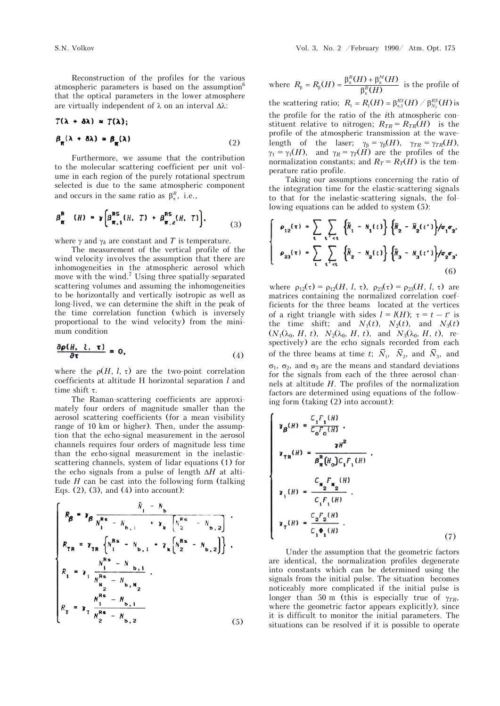Reconstruction of the profiles for the various atmospheric parameters is based on the assumption<sup>6</sup> that the optical parameters in the lower atmosphere are virtually independent of  $\lambda$  on an interval  $\Delta\lambda$ :

$$
T(\lambda + \delta \lambda) \approx T(\lambda);
$$
  
\n
$$
\beta_{\pi} (\lambda + \delta \lambda) \approx \beta_{\pi} (\lambda)
$$
 (2)

Furthermore, we assume that the contribution to the molecular scattering coefficient per unit volume in each region of the purely rotational spectrum selected is due to the same atmospheric component and occurs in the same ratio as  $\beta_{\pi}^{R}$ , i.e.,

$$
\beta_{\pi}^{\mathsf{R}} \quad (\mathcal{H}) = \gamma \left[ \beta_{\pi,1}^{\mathsf{RS}}(\mathcal{H}, T) + \beta_{\pi,2}^{\mathsf{RS}}(\mathcal{H}, T) \right], \tag{3}
$$

where  $\gamma$  and  $\gamma_k$  are constant and *T* is temperature.

The measurement of the vertical profile of the wind velocity involves the assumption that there are inhomogeneities in the atmospheric aerosol which move with the wind.<sup>7</sup> Using three spatially-separated scattering volumes and assuming the inhomogeneities to be horizontally and vertically isotropic as well as long-lived, we can determine the shift in the peak of the time correlation function (which is inversely proportional to the wind velocity) from the minimum condition

$$
\frac{\partial \rho(H, l, \tau)}{\partial \tau} = 0, \tag{4}
$$

where the  $\rho(H, l, \tau)$  are the two-point correlation coefficients at altitude H horizontal separation *l* and time shift  $\tau$ .

The Raman-scattering coefficients are approximately four orders of magnitude smaller than the aerosol scattering coefficients (for a mean visibility range of 10 km or higher). Then, under the assumption that the echo-signal measurement in the aerosol channels requires four orders of magnitude less time than the echo-signal measurement in the inelasticscattering channels, system of lidar equations (1) for the echo signals from a pulse of length  $\Delta H$  at altitude  $H$  can be cast into the following form (talking Eqs.  $(2)$ ,  $(3)$ , and  $(4)$  into account):

$$
\begin{cases}\nR_{\beta} = \gamma_{\beta} \frac{\bar{N}_{1} - N_{b}}{N_{1}^{Rs} - N_{b,1} + \gamma_{k} \left[ N_{2}^{Rs} - N_{b,2} \right]} \\
R_{TR} = \gamma_{TR} \left\{ N_{1}^{Rs} - N_{b,1} + \gamma_{k} \left[ N_{2}^{Rs} - N_{b,2} \right] \right\} \\
R_{1} = \gamma_{1} \frac{N_{1}^{Rs} - N_{b,1}}{N_{12}^{Rs} - N_{b,N_{2}}} \\
R_{T} = \gamma_{T} \frac{N_{1}^{Rs} - N_{b,1}}{N_{2}^{Rs} - N_{b,2}}\n\end{cases}
$$
\n(5)

where 
$$
R_{\beta} = R_{\beta}(H) = \frac{\beta_{\pi}^{R}(H) + \beta_{\pi}^{M}(H)}{\beta_{\pi}^{R}(H)}
$$
 is the profile of

the scattering ratio;  $R_1 = R_1(H) = \beta_{\pi,1}^{RS}(H) / \beta_{N_2}^{RS}(H)$  is the profile for the ratio of the *i*th atmospheric constituent relative to nitrogen;  $R_{TR} = R_{TR}(H)$  is the profile of the atmospheric transmission at the wavelength of the laser;  $\gamma_{\beta} = \gamma_{\beta}(H)$ ,  $\gamma_{TR} = \gamma_{TR}(H)$ ,  $\gamma_1 = \gamma_1(H)$ , and  $\gamma_R = \gamma_T(H)$  are the profiles of the normalization constants; and  $R_T = R_T(H)$  is the temperature ratio profile.

Taking our assumptions concerning the ratio of the integration time for the elastic-scattering signals to that for the inelastic-scattering signals, the following equations can be added to system (5):

$$
\rho_{12}(\tau) = \sum_{t} \sum_{t' < t} \left\{ \bar{N}_1 - N_1(t) \right\} \left\{ \bar{N}_2 - \bar{N}_2(t') \right\} / \sigma_1 \sigma_2,
$$
\n
$$
\rho_{23}(\tau) = \sum_{t} \sum_{t' < t} \left\{ \bar{N}_2 - N_2(t) \right\} \left\{ \bar{N}_3 - N_3(t') \right\} / \sigma_2 \sigma_3.
$$
\n(6)

where  $\rho_{12}(\tau) = \rho_{12}(H, l, \tau), \ \rho_{23}(\tau) = \rho_{23}(H, l, \tau)$  are matrices containing the normalized correlation coefficients for the three beams located at the vertices of a right triangle with sides  $l = l(H)$ ;  $\tau = t - t'$  is the time shift; and  $N_1(t)$ ,  $N_2(t)$ , and  $N_3(t)$  $(N_1(\lambda_0, H, t), N_2(\lambda_0, H, t), \text{ and } N_3(\lambda_0, H, t), \text{ re-}$ spectively) are the echo signals recorded from each of the three beams at time *t*;  $\bar{N}_1$ ,  $\bar{N}_2$ , and  $\bar{N}_3$ , and  $\sigma_1$ ,  $\sigma_2$ , and  $\sigma_3$  are the means and standard deviations for the signals from each of the three aerosol channels at altitude *H*. The profiles of the normalization factors are determined using equations of the following form (taking (2) into account):

$$
\gamma_{\beta}(H) = \frac{C_{1}F_{1}(H)}{C_{0}F_{0}(H)} ,
$$
\n
$$
\gamma_{TR}(H) = \frac{\gamma H^{2}}{\beta_{\pi}^{R}(H_{0})C_{1}F_{1}(H)} ,
$$
\n
$$
\gamma_{1}(H) = \frac{C_{N_{2}}F_{N_{2}}(H)}{C_{1}F_{1}(H)} ,
$$
\n
$$
\gamma_{T}(H) = \frac{C_{2}F_{2}(H)}{C_{1}\Phi_{1}(H)} .
$$
\n(7)

Under the assumption that the geometric factors are identical, the normalization profiles degenerate into constants which can be determined using the signals from the initial pulse. The situation becomes noticeably more complicated if the initial pulse is longer than 50 m (this is especially true of  $\gamma_{TR}$ , where the geometric factor appears explicitly), since it is difficult to monitor the initial parameters. The situations can be resolved if it is possible to operate